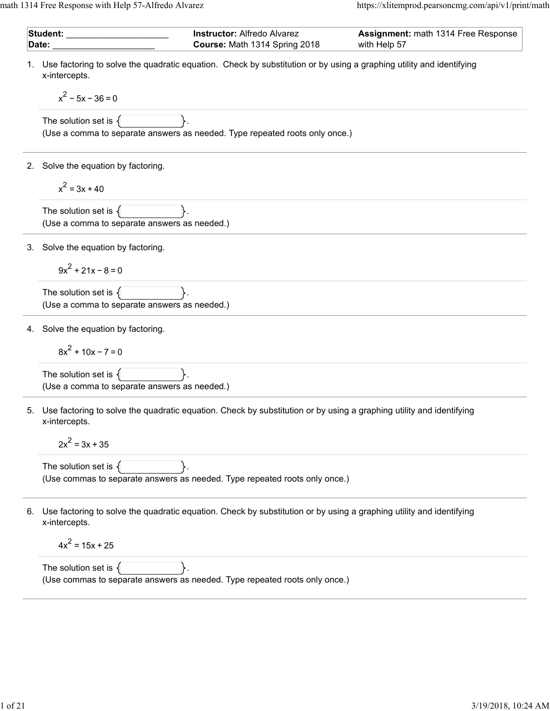math 1314 Free Response with Help 57-Alfredo Alvarez https://xlitemprod.pearsoncmg.com/api/v1/print/math

|    | Student:<br>Date:                                                        | <b>Instructor: Alfredo Alvarez</b><br>Course: Math 1314 Spring 2018                                                 | Assignment: math 1314 Free Response<br>with Help 57 |
|----|--------------------------------------------------------------------------|---------------------------------------------------------------------------------------------------------------------|-----------------------------------------------------|
|    | x-intercepts.                                                            | Use factoring to solve the quadratic equation. Check by substitution or by using a graphing utility and identifying |                                                     |
|    | $x^2$ – 5x – 36 = 0                                                      |                                                                                                                     |                                                     |
|    | The solution set is $\{$                                                 | (Use a comma to separate answers as needed. Type repeated roots only once.)                                         |                                                     |
| 2. | Solve the equation by factoring.                                         |                                                                                                                     |                                                     |
|    | $x^2 = 3x + 40$                                                          |                                                                                                                     |                                                     |
|    | The solution set is $\{$<br>(Use a comma to separate answers as needed.) |                                                                                                                     |                                                     |
| 3. | Solve the equation by factoring.                                         |                                                                                                                     |                                                     |
|    | $9x^2 + 21x - 8 = 0$                                                     |                                                                                                                     |                                                     |
|    | The solution set is $\{$<br>(Use a comma to separate answers as needed.) |                                                                                                                     |                                                     |
| 4. | Solve the equation by factoring.                                         |                                                                                                                     |                                                     |
|    | $8x^{2}$ + 10x - 7 = 0                                                   |                                                                                                                     |                                                     |
|    | The solution set is $\{$<br>(Use a comma to separate answers as needed.) |                                                                                                                     |                                                     |
| 5. | x-intercepts.                                                            | Use factoring to solve the quadratic equation. Check by substitution or by using a graphing utility and identifying |                                                     |
|    | $2x^2 = 3x + 35$                                                         |                                                                                                                     |                                                     |
|    | The solution set is $\{$                                                 | (Use commas to separate answers as needed. Type repeated roots only once.)                                          |                                                     |
| 6. | x-intercepts.                                                            | Use factoring to solve the quadratic equation. Check by substitution or by using a graphing utility and identifying |                                                     |
|    | $4x^2 = 15x + 25$                                                        |                                                                                                                     |                                                     |
|    | The solution set is $\{$                                                 | (Use commas to separate answers as needed. Type repeated roots only once.)                                          |                                                     |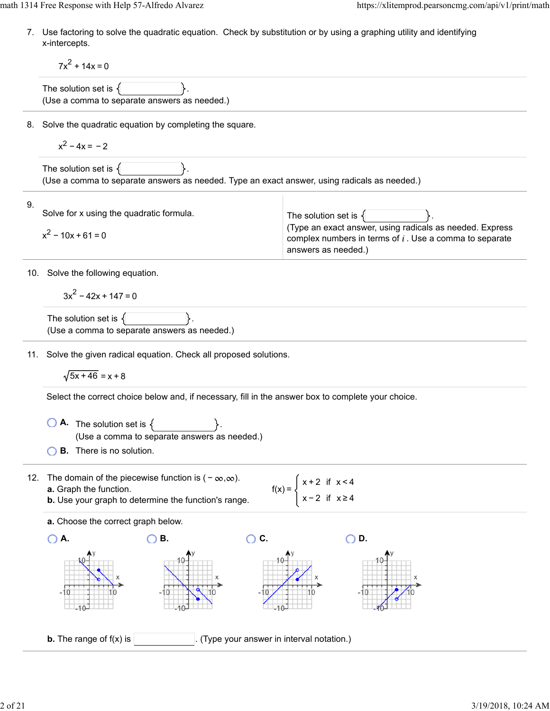7. Use factoring to solve the quadratic equation. Check by substitution or by using a graphing utility and identifying x-intercepts.

 $7x^2 + 14x = 0$ 

The solution set is  $\{$ (Use a comma to separate answers as needed.)

8. Solve the quadratic equation by completing the square.

$$
x^2-4x=-2
$$

The solution set is  $\{$ (Use a comma to separate answers as needed. Type an exact answer, using radicals as needed.)

| 9. | Solve for x using the quadratic formula. | The solution set is $\{$                                                                                                                     |
|----|------------------------------------------|----------------------------------------------------------------------------------------------------------------------------------------------|
|    | $x^2 - 10x + 61 = 0$                     | (Type an exact answer, using radicals as needed. Express<br>complex numbers in terms of $i$ . Use a comma to separate<br>answers as needed.) |

10. Solve the following equation.

 $3x^{2} - 42x + 147 = 0$ 

```
The solution set is \{(Use a comma to separate answers as needed.)
```
11. Solve the given radical equation. Check all proposed solutions.

 $\sqrt{5x + 46} = x + 8$ 

Select the correct choice below and, if necessary, fill in the answer box to complete your choice.

- $\overline{A}$ . The solution set is  $\{$ (Use a comma to separate answers as needed.)
- **B.** There is no solution.
- 12. The domain of the piecewise function is  $(-\infty, \infty)$ . **a.** Graph the function. **b.** Use your graph to determine the function's range.

 $f(x) = 0$ x + 2 if x < 4 x − 2 if x ≥ 4

**a.** Choose the correct graph below.

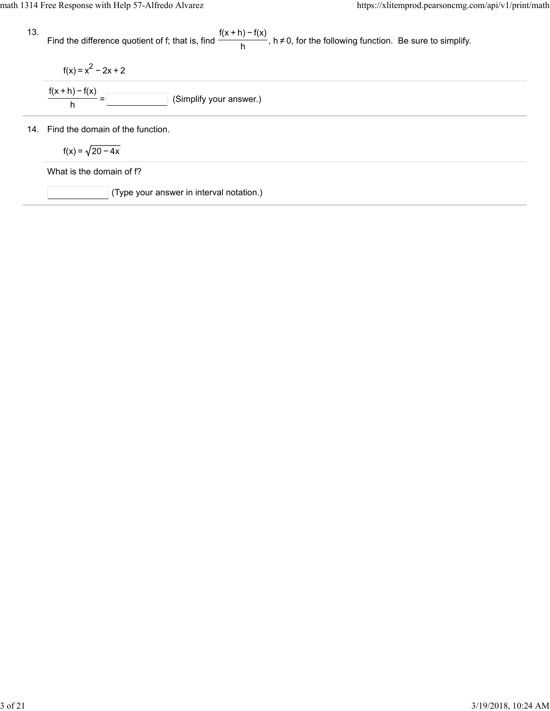13. 14. Find the domain of the function. Find the difference quotient of f; that is, find  $\frac{f(x + h) - f(x)}{h}$ , h≠0, for the following function. Be sure to simplify.  $f(x) = x^2 - 2x + 2$  $\overline{\hspace{1cm}}$  (Simplify your answer.)  $\frac{f(x+h)-f(x)}{h} =$  $f(x) = \sqrt{20 - 4x}$ What is the domain of f? (Type your answer in interval notation.)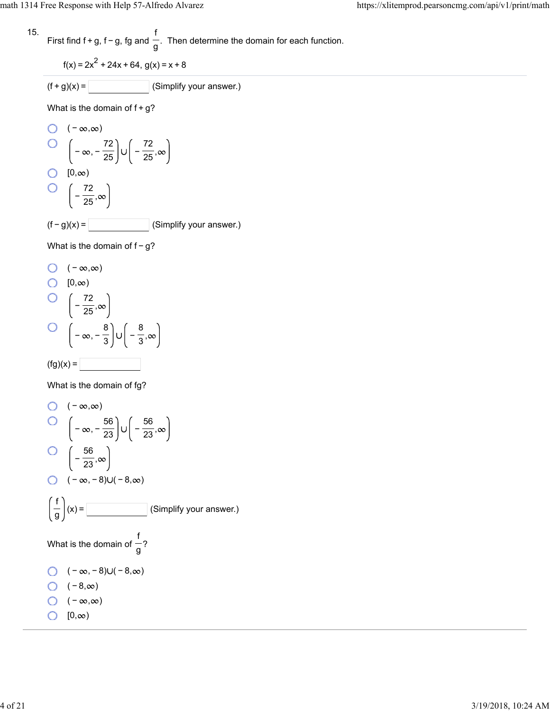15. First find f + g, f – g, fg and 
$$
\frac{f}{g}
$$
. Then determine the domain for each function.

$$
f(x) = 2x^2 + 24x + 64, g(x) = x + 8
$$

$$
(f+g)(x) = \boxed{\qquad \qquad} \text{(Simplify your answer.)}
$$

What is the domain of  $f+g$ ?

O 
$$
(-\infty, \infty)
$$
  
\nO  $\left(-\infty, -\frac{72}{25}\right) \cup \left(-\frac{72}{25}, \infty\right)$   
\nO [0,∞)  
\nO  $\left(-\frac{72}{25}, \infty\right)$   
\n(f-g)(x) = \_\_\_\_\_\_ (Simplify your answer.)

What is the domain of f-g?

O 
$$
(-\infty, \infty)
$$
  
\nO  $[0, \infty)$   
\nO  $\left(-\frac{72}{25}, \infty\right)$   
\nO  $\left(-\infty, -\frac{8}{3}\right) \cup \left(-\frac{8}{3}, \infty\right)$   
\n(fg)(x) =

What is the domain of fg?

O 
$$
(-\infty, \infty)
$$
  
\nO  $\left(-\infty, -\frac{56}{23}\right) \cup \left(-\frac{56}{23}, \infty\right)$   
\nO  $\left(-\frac{56}{23}, \infty\right)$   
\nO  $(-\infty, -8) \cup (-8, \infty)$   
\n $\left(\frac{f}{g}\right)(x) =$  [Simplify your answer.)  
\nWhat is the domain of  $\frac{f}{g}$ ?  
\nO  $(-\infty, -8) \cup (-8, \infty)$   
\nO  $(-8, \infty)$   
\nO  $(-\infty, \infty)$   
\nO  $(0, \infty)$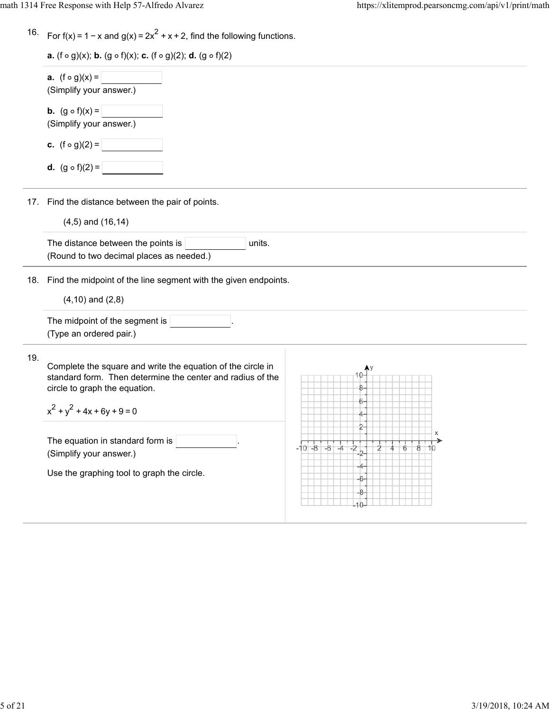$\overline{\phantom{0}}$ 

| 16. For f(x) = 1 – x and g(x) = $2x^2 + x + 2$ , find the following functions. |  |  |
|--------------------------------------------------------------------------------|--|--|
|                                                                                |  |  |

| <b>a.</b> (f $\circ$ g)(x); <b>b.</b> (g $\circ$ f)(x); <b>c.</b> (f $\circ$ g)(2); <b>d.</b> (g $\circ$ f)(2) |
|----------------------------------------------------------------------------------------------------------------|
|----------------------------------------------------------------------------------------------------------------|

|     | <b>a.</b> $(f \circ g)(x) =$<br>(Simplify your answer.)                                                                                                                                     |                                      |
|-----|---------------------------------------------------------------------------------------------------------------------------------------------------------------------------------------------|--------------------------------------|
|     | <b>b.</b> $(g \circ f)(x) =$<br>(Simplify your answer.)                                                                                                                                     |                                      |
|     | <b>c.</b> $(f \circ g)(2) =$                                                                                                                                                                |                                      |
|     | <b>d.</b> $(g \circ f)(2) =$                                                                                                                                                                |                                      |
|     | 17. Find the distance between the pair of points.                                                                                                                                           |                                      |
|     | $(4,5)$ and $(16,14)$                                                                                                                                                                       |                                      |
|     | The distance between the points is<br>units.<br>(Round to two decimal places as needed.)                                                                                                    |                                      |
| 18. | Find the midpoint of the line segment with the given endpoints.                                                                                                                             |                                      |
|     | $(4,10)$ and $(2,8)$                                                                                                                                                                        |                                      |
|     | The midpoint of the segment is<br>(Type an ordered pair.)                                                                                                                                   |                                      |
| 19. | Complete the square and write the equation of the circle in<br>standard form. Then determine the center and radius of the<br>circle to graph the equation.<br>$x^2 + y^2 + 4x + 6y + 9 = 0$ |                                      |
|     | The equation in standard form is<br>(Simplify your answer.)                                                                                                                                 | $-6$<br>$-10 - 8$<br>ż<br>-2<br>$-4$ |
|     | Use the graphing tool to graph the circle.                                                                                                                                                  |                                      |

 $\overline{\phantom{0}}$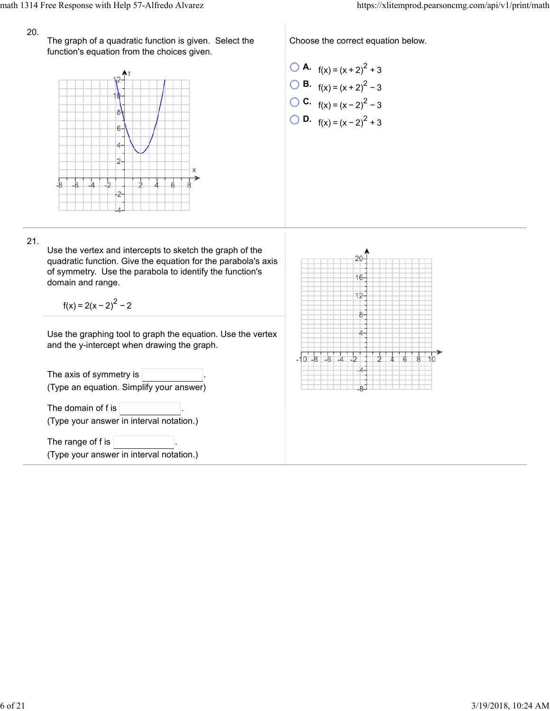## 20.

The graph of a quadratic function is given. Select the function's equation from the choices given.



Choose the correct equation below.

\n- **O A.** 
$$
f(x) = (x + 2)^2 + 3
$$
\n- **O B.**  $f(x) = (x + 2)^2 - 3$
\n- **O C.**  $f(x) = (x - 2)^2 - 3$
\n- **O D.**  $f(x) = (x - 2)^2 + 3$
\n

21.

Use the vertex and intercepts to sketch the graph of the quadratic function. Give the equation for the parabola's axis of symmetry. Use the parabola to identify the function's domain and range.

 $f(x) = 2(x - 2)^{2} - 2$ 

Use the graphing tool to graph the equation. Use the vertex and the y-intercept when drawing the graph.

The axis of symmetry is  $|$ (Type an equation. Simplify your answer) The domain of  $f$  is  $\vert$ (Type your answer in interval notation.) The range of f is (Type your answer in interval notation.)

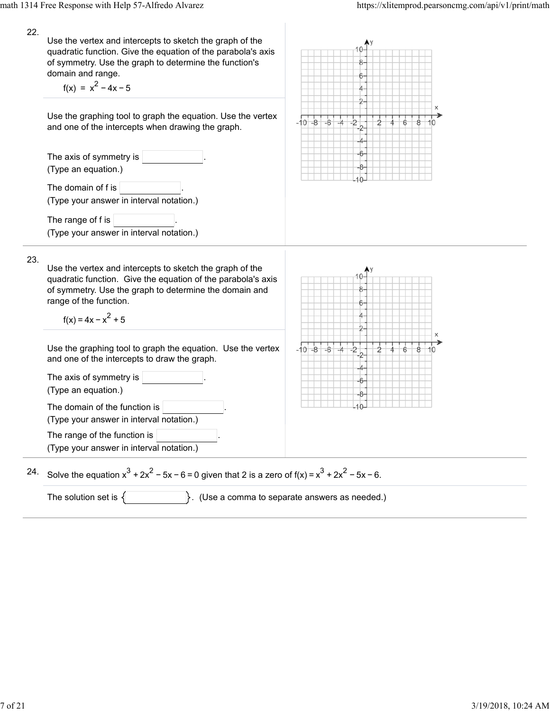22. Use the vertex and intercepts to sketch the graph of the quadratic function. Give the equation of the parabola's axis of symmetry. Use the graph to determine the function's domain and range.  $f(x) = x^{2} - 4x - 5$ Use the graphing tool to graph the equation. Use the vertex  $-10-8$  $-\mathbf{k}$ and one of the intercepts when drawing the graph. The axis of symmetry is (Type an equation.) The domain of  $f$  is  $|$ (Type your answer in interval notation.) The range of f is (Type your answer in interval notation.) 23. Use the vertex and intercepts to sketch the graph of the quadratic function. Give the equation of the parabola's axis of symmetry. Use the graph to determine the domain and range of the function.  $f(x) = 4x - x^2 + 5$  $-10 - 8$  $-\epsilon$ Use the graphing tool to graph the equation. Use the vertex and one of the intercepts to draw the graph. The axis of symmetry is (Type an equation.) The domain of the function is (Type your answer in interval notation.) The range of the function is (Type your answer in interval notation.) Solve the equation  $x^3 + 2x^2 - 5x - 6 = 0$  given that 2 is a zero of  $f(x) = x^3 + 2x^2 - 5x - 6$ . 24. The solution set is  $\{\}$  . (Use a comma to separate answers as needed.)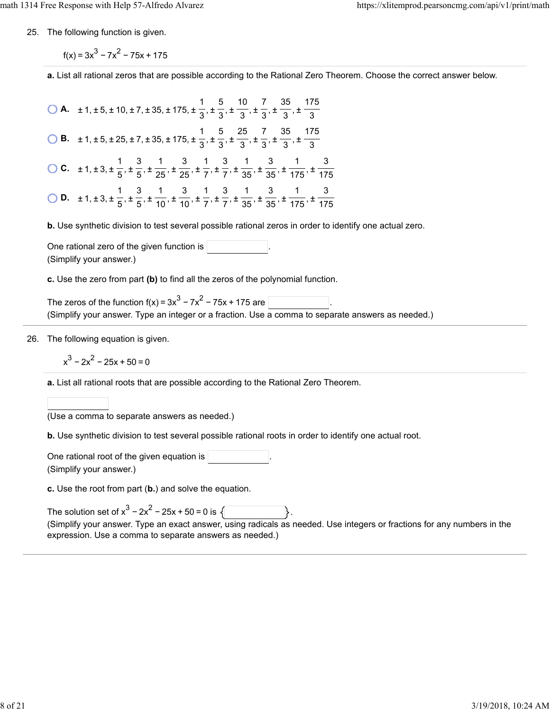25. The following function is given.

 $f(x) = 3x^{3} - 7x^{2} - 75x + 175$ 

**a.** List all rational zeros that are possible according to the Rational Zero Theorem. Choose the correct answer below.

**A.**  $\pm 1, \pm 5, \pm 10, \pm 7, \pm 35, \pm 175, \pm \frac{1}{2}, \pm \frac{5}{2}, \pm \frac{10}{2}, \pm \frac{7}{2}, \pm \frac{35}{2}, \pm \frac{10}{2}$  **B.**  $\pm 1, \pm 5, \pm 25, \pm 7, \pm 35, \pm 175, \pm \frac{1}{2}, \pm \frac{5}{2}, \pm \frac{25}{2}, \pm \frac{7}{2}, \pm \frac{35}{2}, \pm \frac{1}{2}$  **C.**  $\pm 1, \pm 3, \pm \frac{1}{5}, \pm \frac{3}{65}, \pm \frac{1}{25}, \pm \frac{3}{75}, \pm \frac{1}{75}, \pm \frac{3}{25}, \pm \frac{1}{25}, \pm \frac{3}{25}, \pm \frac{1}{25}$  **D.**  $\pm 1, \pm 3, \pm \frac{1}{5}, \pm \frac{3}{5}, \pm \frac{1}{40}, \pm \frac{3}{40}, \pm \frac{1}{7}, \pm \frac{3}{7}, \pm \frac{1}{25}, \pm \frac{3}{25}, \pm \frac{1}{475}, \pm \frac{1}{155}$  

**b.** Use synthetic division to test several possible rational zeros in order to identify one actual zero.

One rational zero of the given function is . (Simplify your answer.)

**c.** Use the zero from part **(b)** to find all the zeros of the polynomial function.

The zeros of the function  $f(x) = 3x^3 - 7x^2 - 75x + 175$  are (Simplify your answer. Type an integer or a fraction. Use a comma to separate answers as needed.)

26. The following equation is given.

$$
x^3 - 2x^2 - 25x + 50 = 0
$$

**a.** List all rational roots that are possible according to the Rational Zero Theorem.

(Use a comma to separate answers as needed.)

**b.** Use synthetic division to test several possible rational roots in order to identify one actual root.

One rational root of the given equation is . (Simplify your answer.)

**c.** Use the root from part (**b.**) and solve the equation.

| The solution set of $x^3 - 2x^2 - 25x + 50 = 0$ is $\sqrt{ }$                                                           |
|-------------------------------------------------------------------------------------------------------------------------|
| (Simplify your answer. Type an exact answer, using radicals as needed. Use integers or fractions for any numbers in the |
| expression. Use a comma to separate answers as needed.)                                                                 |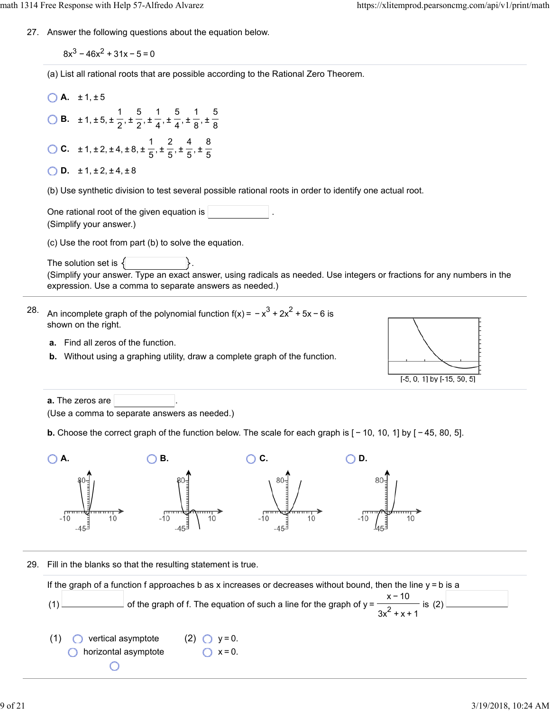27. Answer the following questions about the equation below.

 $8x^3 - 46x^2 + 31x - 5 = 0$ 

(a) List all rational roots that are possible according to the Rational Zero Theorem.

 $A. \pm 1, \pm 5$ **B.**  $\pm 1, \pm 5, \pm \frac{1}{6}, \pm \frac{5}{6}, \pm \frac{1}{4}, \pm \frac{5}{4}, \pm \frac{1}{6}, \pm \frac{1}{10}$ 2 5 2 1 4 5 4 1 8 5 8 **C.**  $\pm 1, \pm 2, \pm 4, \pm 8, \pm \frac{1}{6}, \pm \frac{2}{6}, \pm \frac{4}{6}, \pm \frac{1}{2}$ 5 2 5 4 5 8 5

| <b>D.</b> $\pm 1, \pm 2, \pm 4, \pm 8$ |  |  |  |  |  |
|----------------------------------------|--|--|--|--|--|
|----------------------------------------|--|--|--|--|--|

(b) Use synthetic division to test several possible rational roots in order to identify one actual root.

One rational root of the given equation is (Simplify your answer.)

(c) Use the root from part (b) to solve the equation.

The solution set is  $\{$ (Simplify your answer. Type an exact answer, using radicals as needed. Use integers or fractions for any numbers in the expression. Use a comma to separate answers as needed.)

- 28. An incomplete graph of the polynomial function f(x) =  $-x^3 + 2x^2 + 5x - 6$  is shown on the right.
	- **a.** Find all zeros of the function.
	- **b.** Without using a graphing utility, draw a complete graph of the function.



**a.** The zeros are (Use a comma to separate answers as needed.)

**b.** Choose the correct graph of the function below. The scale for each graph is  $[-10, 10, 1]$  by  $[-45, 80, 5]$ .



29. Fill in the blanks so that the resulting statement is true.

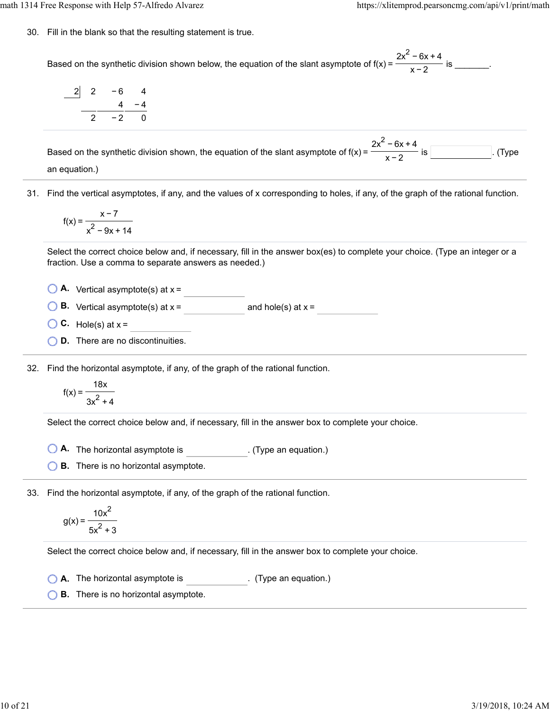30. Fill in the blank so that the resulting statement is true.

Based on the synthetic division shown below, the equation of the slant asymptote of  $f(x) = \frac{1}{x}$  for  $\frac{1}{x}$  is  $\frac{1}{x}$ .  $2x^2$  – 6x + 4 x−2

$$
\begin{array}{c|cccc}\n2 & 2 & -6 & 4 \\
 & & 4 & -4 \\
\hline\n & 2 & -2 & 0\n\end{array}
$$

Based on the synthetic division shown, the equation of the slant asymptote of  $f(x) = \frac{1}{x}$  .  $\frac{1}{x}$  is . (Type  $2x^2 - 6x + 4$ x−2

an equation.)

31. Find the vertical asymptotes, if any, and the values of x corresponding to holes, if any, of the graph of the rational function.

$$
f(x) = \frac{x-7}{x^2 - 9x + 14}
$$

Select the correct choice below and, if necessary, fill in the answer box(es) to complete your choice. (Type an integer or a fraction. Use a comma to separate answers as needed.)

 $\bigcirc$  **A.** Vertical asymptote(s) at  $x =$ 

**B.** Vertical asymptote(s) at  $x =$  and hole(s) at  $x =$ 

- $\bigcirc$  **C.** Hole(s) at  $x =$
- **D.** There are no discontinuities.

32. Find the horizontal asymptote, if any, of the graph of the rational function.

$$
f(x) = \frac{18x}{3x^2 + 4}
$$

Select the correct choice below and, if necessary, fill in the answer box to complete your choice.

**A.** The horizontal asymptote is . (Type an equation.)

**B.** There is no horizontal asymptote.

33. Find the horizontal asymptote, if any, of the graph of the rational function.

$$
g(x) = \frac{10x^2}{5x^2 + 3}
$$

Select the correct choice below and, if necessary, fill in the answer box to complete your choice.

**A.** The horizontal asymptote is . (Type an equation.)

**B.** There is no horizontal asymptote.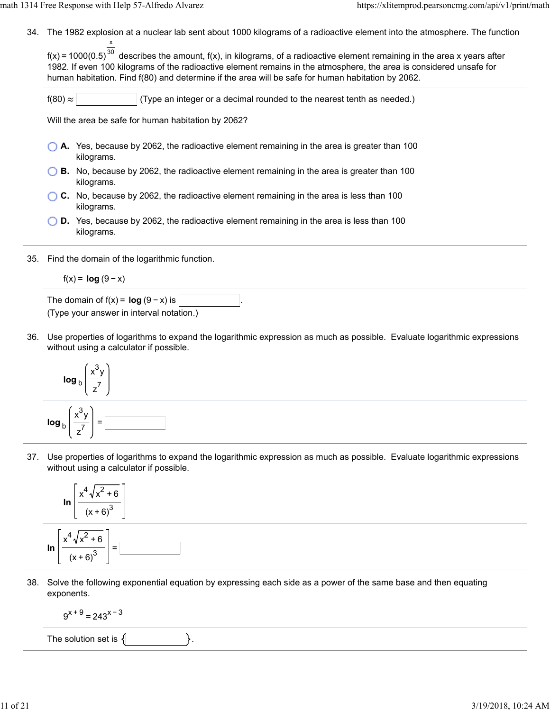34. The 1982 explosion at a nuclear lab sent about 1000 kilograms of a radioactive element into the atmosphere. The function x

f(x) = 1000(0.5) $^{30}$  describes the amount, f(x), in kilograms, of a radioactive element remaining in the area x years after 1982. If even 100 kilograms of the radioactive element remains in the atmosphere, the area is considered unsafe for human habitation. Find f(80) and determine if the area will be safe for human habitation by 2062.

 $f(80) \approx$  (Type an integer or a decimal rounded to the nearest tenth as needed.)

Will the area be safe for human habitation by 2062?

- **A.** Yes, because by 2062, the radioactive element remaining in the area is greater than 100 kilograms.
- **B.** No, because by 2062, the radioactive element remaining in the area is greater than 100 kilograms.
- **C.** No, because by 2062, the radioactive element remaining in the area is less than 100 kilograms.
- **D.** Yes, because by 2062, the radioactive element remaining in the area is less than 100 kilograms.
- 35. Find the domain of the logarithmic function.

$$
f(x) = \log (9 - x)
$$

The domain of  $f(x) = \log(9 - x)$  is (Type your answer in interval notation.)

36. Use properties of logarithms to expand the logarithmic expression as much as possible. Evaluate logarithmic expressions without using a calculator if possible.



37. Use properties of logarithms to expand the logarithmic expression as much as possible. Evaluate logarithmic expressions without using a calculator if possible.



38. Solve the following exponential equation by expressing each side as a power of the same base and then equating exponents.

$$
9^{x+9} = 243^{x-3}
$$

The solution set is  $\{$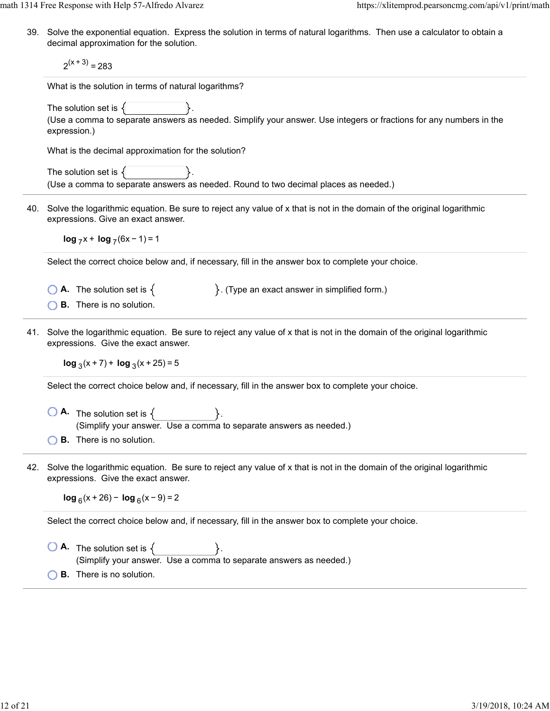39. Solve the exponential equation. Express the solution in terms of natural logarithms. Then use a calculator to obtain a decimal approximation for the solution.

 $2^{(x + 3)} = 283$ 

What is the solution in terms of natural logarithms?

The solution set is  $\{$ (Use a comma to separate answers as needed. Simplify your answer. Use integers or fractions for any numbers in the expression.)

What is the decimal approximation for the solution?

The solution set is  $\{$ (Use a comma to separate answers as needed. Round to two decimal places as needed.)

40. Solve the logarithmic equation. Be sure to reject any value of x that is not in the domain of the original logarithmic expressions. Give an exact answer.

 $log_7 x + log_7 (6x - 1) = 1$ 

Select the correct choice below and, if necessary, fill in the answer box to complete your choice.

- **A.** The solution set is  $\{$   $\}$ . (Type an exact answer in simplified form.)
- **B.** There is no solution.
- 41. Solve the logarithmic equation. Be sure to reject any value of x that is not in the domain of the original logarithmic expressions. Give the exact answer.

**log**  $_3$ (x + 7) + **log**  $_3$ (x + 25) = 5

Select the correct choice below and, if necessary, fill in the answer box to complete your choice.

- $\bigcirc$  **A.** The solution set is  $\{ \}$ . (Simplify your answer. Use a comma to separate answers as needed.) **B.** There is no solution.
- 42. Solve the logarithmic equation. Be sure to reject any value of x that is not in the domain of the original logarithmic expressions. Give the exact answer.

**log**  $_6$ (x + 26) − **log**  $_6$ (x − 9) = 2

Select the correct choice below and, if necessary, fill in the answer box to complete your choice.

 $\bigcirc$  **A.** The solution set is  $\{$ (Simplify your answer. Use a comma to separate answers as needed.) **B.** There is no solution.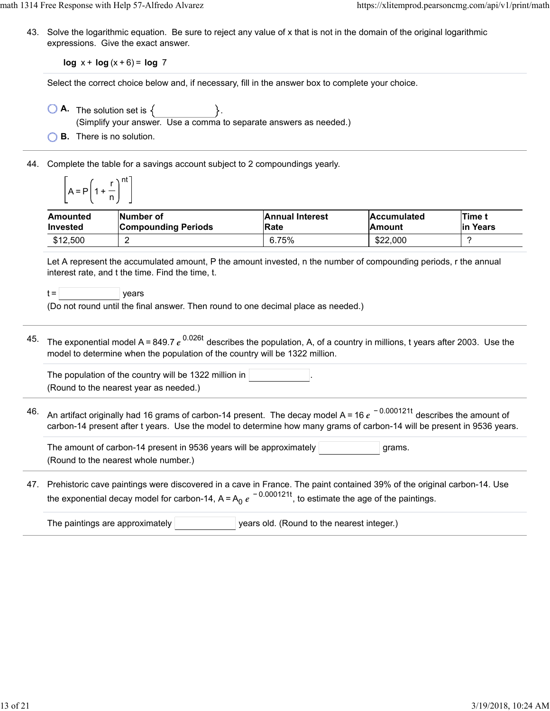43. Solve the logarithmic equation. Be sure to reject any value of x that is not in the domain of the original logarithmic expressions. Give the exact answer.

**log** x + **log** (x + 6) = **log** 7

Select the correct choice below and, if necessary, fill in the answer box to complete your choice.

- $\bigcirc$  **A.** The solution set is  $\{$ 
	- (Simplify your answer. Use a comma to separate answers as needed.)
- **B.** There is no solution.
- 44. Complete the table for a savings account subject to 2 compoundings yearly.

$$
\left[A = P\left(1 + \frac{r}{n}\right)^{nt}\right]
$$

| Amounted | <b>INumber of</b>          | <b>Annual Interest</b> | <b>Accumulated</b> | <b>Time t</b> |
|----------|----------------------------|------------------------|--------------------|---------------|
| Invested | <b>Compounding Periods</b> | Rate                   | lAmount            | lin Years     |
| \$12,500 |                            | 6.75%                  | \$22,000           |               |

Let A represent the accumulated amount, P the amount invested, n the number of compounding periods, r the annual interest rate, and t the time. Find the time, t.

 $t =$   $\vert$  years

(Do not round until the final answer. Then round to one decimal place as needed.)

 $^{45}$  The exponential model A=849.7  $e^{\,0.026t}$  describes the population, A, of a country in millions, t years after 2003. Use the model to determine when the population of the country will be 1322 million.

| The population of the country will be 1322 million in $ $ |  |
|-----------------------------------------------------------|--|
| (Round to the nearest year as needed.)                    |  |

46. An artifact originally had 16 grams of carbon-14 present. The decay model A = 16  $e^{\,\,-\,0.000121t}$  describes the amount of carbon-14 present after t years. Use the model to determine how many grams of carbon-14 will be present in 9536 years.

The amount of carbon-14 present in 9536 years will be approximately  $|$   $|$   $|$ grams. (Round to the nearest whole number.)

47. Prehistoric cave paintings were discovered in a cave in France. The paint contained 39% of the original carbon-14. Use the exponential decay model for carbon-14, A=A<sub>0</sub>  $e^{\,-\,0.000121t}$ , to estimate the age of the paintings.

| The paintings are approximately | vears old. (Round to the nearest integer.) |
|---------------------------------|--------------------------------------------|
|                                 |                                            |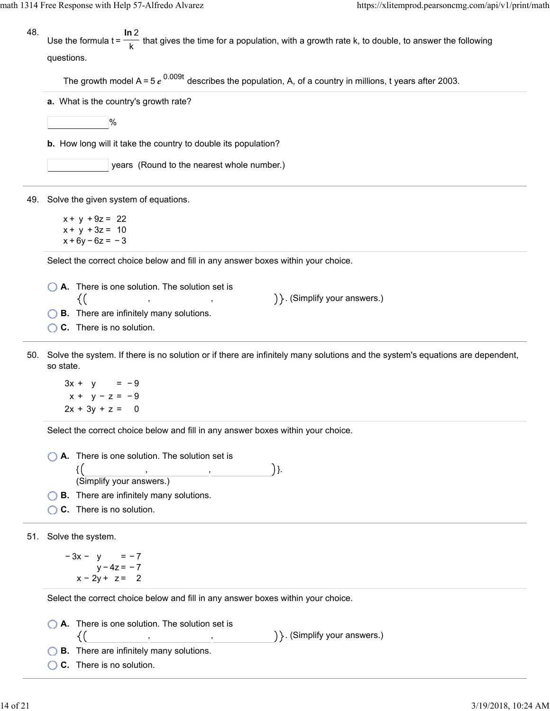math 1314 Free Response with Help 57-Alfredo Alvarez https://xlitemprod.pearsoncmg.com/api/v1/print/math

48. Use the formula t =  $\frac{1}{\sqrt{1-\epsilon}}$  that gives the time for a population, with a growth rate k, to double, to answer the following questions. **ln** 2 k

The growth model A = 5  $e^{0.009t}$  describes the population, A, of a country in millions, t years after 2003.

**a.** What is the country's growth rate?

 $|%$ 

**b.** How long will it take the country to double its population?

years (Round to the nearest whole number.)

49. Solve the given system of equations.

 $x + y + 9z = 22$  $x + y + 3z = 10$  $x + 6y - 6z = -3$ 

Select the correct choice below and fill in any answer boxes within your choice.

**A.** There is one solution. The solution set is {( , , . (Simplify your answers.)

**B.** There are infinitely many solutions.

**C.** There is no solution.

50. Solve the system. If there is no solution or if there are infinitely many solutions and the system's equations are dependent, so state.

 $3x + y = -9$  $x + y - z = -9$  $2x + 3y + z = 0$ 

Select the correct choice below and fill in any answer boxes within your choice.

**A.** There is one solution. The solution set is

 $\{ ($  , , , , ) }. , (Simplify your answers.) ,

**B.** There are infinitely many solutions.

**C.** There is no solution.

51. Solve the system.

 $-3x - y = -7$ y − 4z = − 7 x − 2y + z = 2

Select the correct choice below and fill in any answer boxes within your choice.

, ,

**A.** There is one solution. The solution set is

. (Simplify your answers.)

- **B.** There are infinitely many solutions.
- **C.** There is no solution.

{(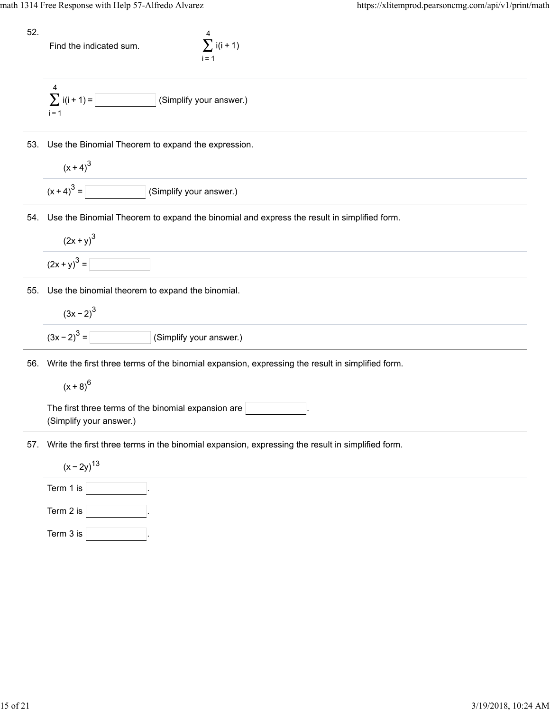52.

Find the indicated sum.  $\sum i(i + 1)$ 

i=1 4



53. Use the Binomial Theorem to expand the expression.

$$
\frac{(x+4)^3}{(x+4)^3} =
$$
 (Simplify your answer.)

54. Use the Binomial Theorem to expand the binomial and express the result in simplified form.

$$
(2x + y)^3
$$

$$
(2x + y)^3 =
$$

55. Use the binomial theorem to expand the binomial.

$$
(3x-2)^3 = \boxed{\qquad \qquad \text{(Simplify your answer.)}}
$$

56. Write the first three terms of the binomial expansion, expressing the result in simplified form.

 $(x + 8)^{6}$ 

The first three terms of the binomial expansion are (Simplify your answer.)

57. Write the first three terms in the binomial expansion, expressing the result in simplified form.

 $(x - 2y)^{13}$ Term 1 is

Term 2 is  $\boxed{\qquad \qquad }$ Term 3 is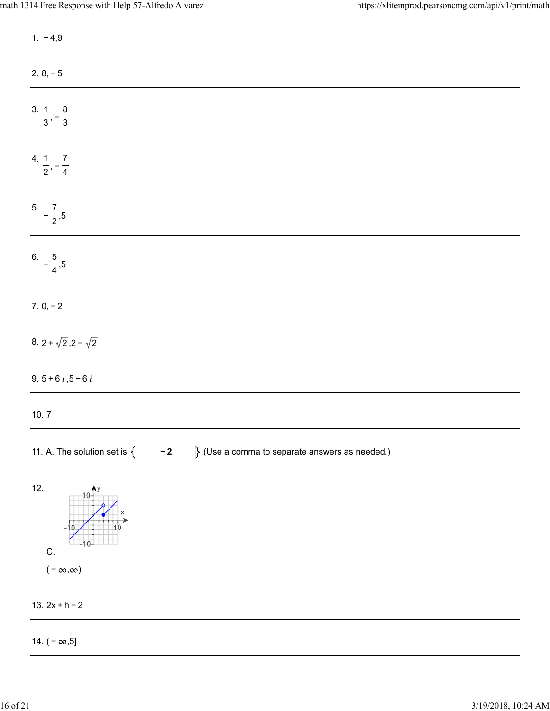| $1. -4,9$                                                                                         |
|---------------------------------------------------------------------------------------------------|
| $2.8, -5$                                                                                         |
| $\frac{3.1}{3}, -\frac{8}{3}$                                                                     |
| 4. $\frac{1}{2}, -\frac{7}{4}$                                                                    |
| $5. -\frac{7}{2},5$                                                                               |
| $6. -\frac{5}{4},5$                                                                               |
| $7.0, -2$                                                                                         |
| 8. 2 + $\sqrt{2}$ , 2 - $\sqrt{2}$                                                                |
| 9. $5 + 6 i$ , $5 - 6 i$                                                                          |
| 10.7                                                                                              |
| 11. A. The solution set is $\{$<br>$\Big\}$ .(Use a comma to separate answers as needed.)<br>$-2$ |
| 12.<br>C.<br>$(-\infty,\infty)$                                                                   |
| 13. $2x + h - 2$                                                                                  |
| 14. $(-\infty, 5]$                                                                                |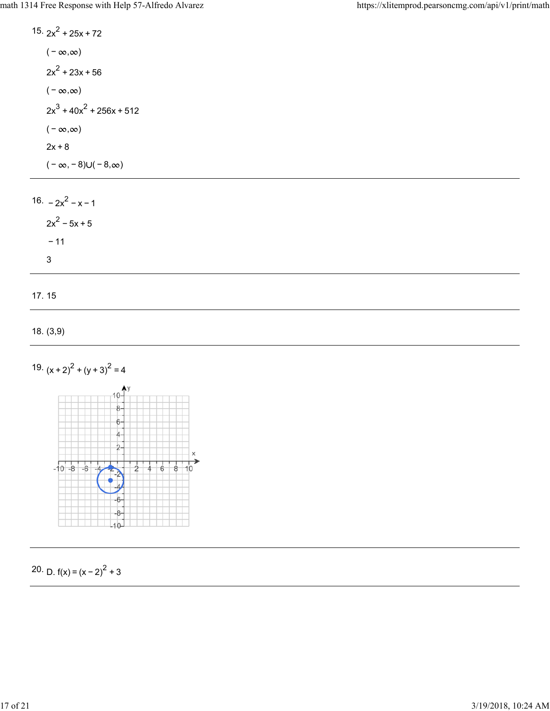15.  $2x^2 + 25x + 72$  $(-\infty, \infty)$  $2x^2 + 23x + 56$  $(-\infty, \infty)$  $2x^3 + 40x^2 + 256x + 512$  $(-\infty, \infty)$  $2x + 8$  $(-\infty, -8) \cup (-8, \infty)$ 16.  $-2x^2 - x - 1$  $2x^2 - 5x + 5$ 

− 11 3

17. 15

```
18. (3,9)
```




20. D.  $f(x) = (x - 2)^2 + 3$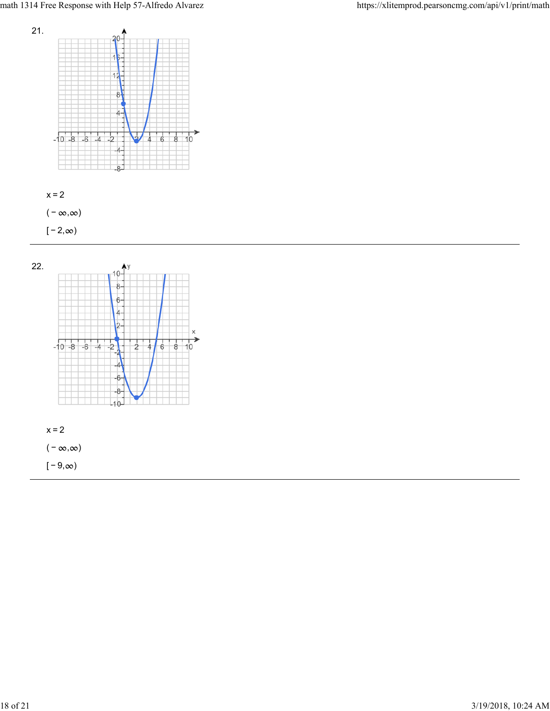





 $[-9, \infty)$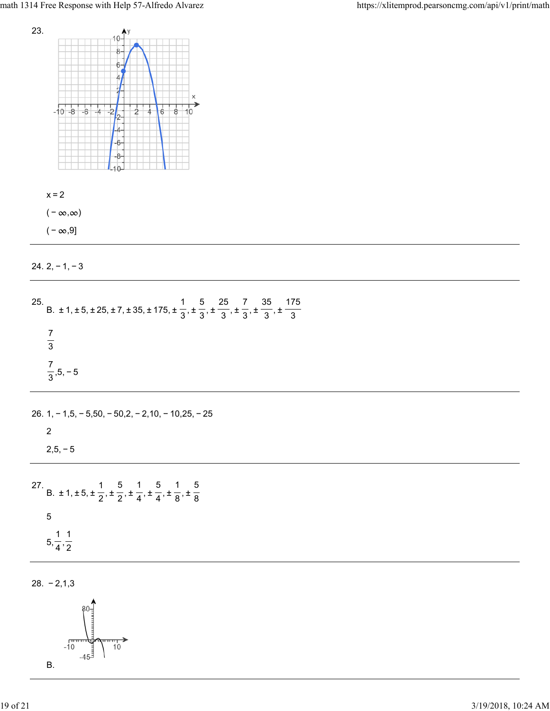



( –  $\infty, 9]$ 

| $24.2 -$ |  |  |  |  | 3 |
|----------|--|--|--|--|---|
|----------|--|--|--|--|---|

| 25. B. $\pm$ 1, $\pm$ 5, $\pm$ 25, $\pm$ 7, $\pm$ 35, $\pm$ 175, $\pm$ $\frac{1}{3}$ , $\pm$ $\frac{5}{3}$ , $\pm$ $\frac{25}{3}$ , $\pm$ $\frac{7}{3}$ , $\pm$ $\frac{35}{3}$ , $\pm$ $\frac{175}{3}$ |
|--------------------------------------------------------------------------------------------------------------------------------------------------------------------------------------------------------|
| $rac{7}{3}$                                                                                                                                                                                            |
| $\frac{7}{3}$ , 5, -5                                                                                                                                                                                  |
| 26. $1, -1, 5, -5, 50, -50, 2, -2, 10, -10, 25, -25$                                                                                                                                                   |
| 2<br>$2,5,-5$                                                                                                                                                                                          |
| 27. B. $\pm 1, \pm 5, \pm \frac{1}{2}, \pm \frac{5}{2}, \pm \frac{1}{4}, \pm \frac{5}{4}, \pm \frac{1}{8}, \pm \frac{5}{8}$                                                                            |
| $\sqrt{5}$                                                                                                                                                                                             |
| $5, \frac{1}{4}, \frac{1}{2}$                                                                                                                                                                          |

28. − 2,1,3

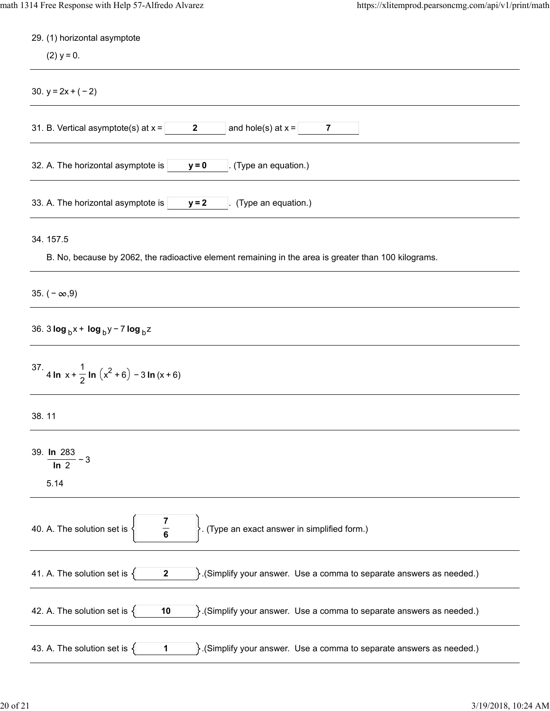| 29. (1) horizontal asymptote                                                                                                          |
|---------------------------------------------------------------------------------------------------------------------------------------|
| $(2)$ y = 0.                                                                                                                          |
| 30. $y = 2x + (-2)$                                                                                                                   |
| and hole(s) at $x =$<br>31. B. Vertical asymptote(s) at $x =$<br>$\mathbf{2}$<br>7                                                    |
| 32. A. The horizontal asymptote is<br>(Type an equation.)<br>$y = 0$                                                                  |
| 33. A. The horizontal asymptote is<br>(Type an equation.)<br>$y = 2$                                                                  |
| 34.157.5                                                                                                                              |
| B. No, because by 2062, the radioactive element remaining in the area is greater than 100 kilograms.                                  |
| 35. $(-\infty, 9)$                                                                                                                    |
| 36. 3 $log_b x + log_b y - 7 log_b z$                                                                                                 |
| 37. 4 In $x + \frac{1}{2}$ In $(x^2 + 6) - 3$ In $(x + 6)$                                                                            |
| 38.11                                                                                                                                 |
| 39. In 283<br>$-3$<br>ln 2<br>5.14                                                                                                    |
| $\frac{7}{6}$<br>40. A. The solution set is<br>(Type an exact answer in simplified form.)                                             |
| 41. A. The solution set is $\{$<br>$\mathcal{S}$ . (Simplify your answer. Use a comma to separate answers as needed.)<br>$\mathbf{2}$ |
| 42. A. The solution set is $\{$<br>10<br>$\}$ . (Simplify your answer. Use a comma to separate answers as needed.)                    |
| 43. A. The solution set is $\{$<br>$\mathcal{S}$ . (Simplify your answer. Use a comma to separate answers as needed.)<br>1            |